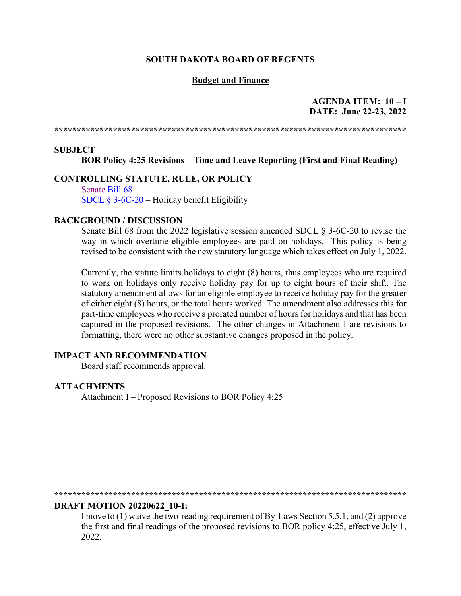#### **SOUTH DAKOTA BOARD OF REGENTS**

#### **Budget and Finance**

**AGENDA ITEM: 10 – I DATE: June 22-23, 2022**

**\*\*\*\*\*\*\*\*\*\*\*\*\*\*\*\*\*\*\*\*\*\*\*\*\*\*\*\*\*\*\*\*\*\*\*\*\*\*\*\*\*\*\*\*\*\*\*\*\*\*\*\*\*\*\*\*\*\*\*\*\*\*\*\*\*\*\*\*\*\*\*\*\*\*\*\*\*\***

#### **SUBJECT**

**BOR Policy 4:25 Revisions – Time and Leave Reporting (First and Final Reading)**

## **CONTROLLING STATUTE, RULE, OR POLICY**

[Senate](https://sdlegislature.gov/Session/Bill/23077) Bill 68 [SDCL § 3-6C-20](https://sdlegislature.gov/Statutes/Codified_Laws/2032805) – Holiday benefit Eligibility

#### **BACKGROUND / DISCUSSION**

Senate Bill 68 from the 2022 legislative session amended SDCL § 3-6C-20 to revise the way in which overtime eligible employees are paid on holidays. This policy is being revised to be consistent with the new statutory language which takes effect on July 1, 2022.

Currently, the statute limits holidays to eight (8) hours, thus employees who are required to work on holidays only receive holiday pay for up to eight hours of their shift. The statutory amendment allows for an eligible employee to receive holiday pay for the greater of either eight (8) hours, or the total hours worked. The amendment also addresses this for part-time employees who receive a prorated number of hours for holidays and that has been captured in the proposed revisions. The other changes in Attachment I are revisions to formatting, there were no other substantive changes proposed in the policy.

### **IMPACT AND RECOMMENDATION**

Board staff recommends approval.

#### **ATTACHMENTS**

Attachment I – Proposed Revisions to BOR Policy 4:25

**\*\*\*\*\*\*\*\*\*\*\*\*\*\*\*\*\*\*\*\*\*\*\*\*\*\*\*\*\*\*\*\*\*\*\*\*\*\*\*\*\*\*\*\*\*\*\*\*\*\*\*\*\*\*\*\*\*\*\*\*\*\*\*\*\*\*\*\*\*\*\*\*\*\*\*\*\*\***

### **DRAFT MOTION 20220622\_10-I:**

I move to (1) waive the two-reading requirement of By-Laws Section 5.5.1, and (2) approve the first and final readings of the proposed revisions to BOR policy 4:25, effective July 1, 2022.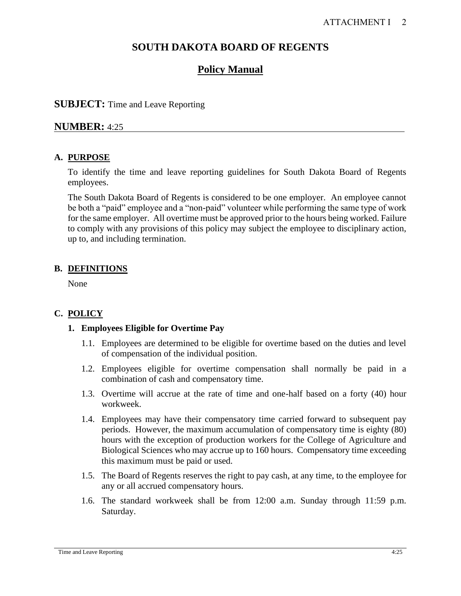## **SOUTH DAKOTA BOARD OF REGENTS**

## **Policy Manual**

## **SUBJECT:** Time and Leave Reporting

## **NUMBER:** 4:25

## **A. PURPOSE**

To identify the time and leave reporting guidelines for South Dakota Board of Regents employees.

The South Dakota Board of Regents is considered to be one employer. An employee cannot be both a "paid" employee and a "non-paid" volunteer while performing the same type of work for the same employer. All overtime must be approved prior to the hours being worked. Failure to comply with any provisions of this policy may subject the employee to disciplinary action, up to, and including termination.

## **B. DEFINITIONS**

None

## **C. POLICY**

## **1. Employees Eligible for Overtime Pay**

- 1.1. Employees are determined to be eligible for overtime based on the duties and level of compensation of the individual position.
- 1.2. Employees eligible for overtime compensation shall normally be paid in a combination of cash and compensatory time.
- 1.3. Overtime will accrue at the rate of time and one-half based on a forty (40) hour workweek.
- 1.4. Employees may have their compensatory time carried forward to subsequent pay periods. However, the maximum accumulation of compensatory time is eighty (80) hours with the exception of production workers for the College of Agriculture and Biological Sciences who may accrue up to 160 hours. Compensatory time exceeding this maximum must be paid or used.
- 1.5. The Board of Regents reserves the right to pay cash, at any time, to the employee for any or all accrued compensatory hours.
- 1.6. The standard workweek shall be from 12:00 a.m. Sunday through 11:59 p.m. Saturday.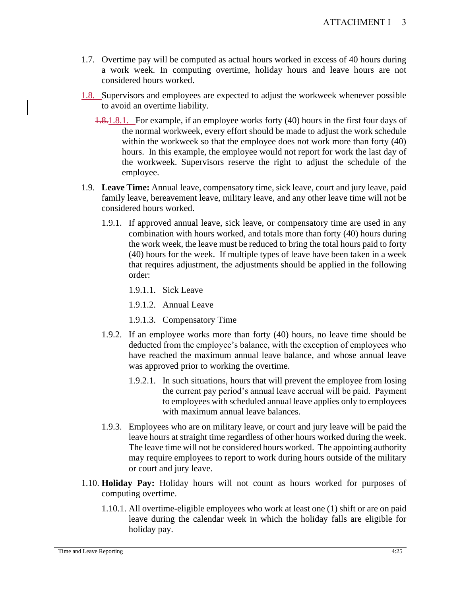- 1.7. Overtime pay will be computed as actual hours worked in excess of 40 hours during a work week. In computing overtime, holiday hours and leave hours are not considered hours worked.
- 1.8. Supervisors and employees are expected to adjust the workweek whenever possible to avoid an overtime liability.
	- 1.8.1.8.1. For example, if an employee works forty (40) hours in the first four days of the normal workweek, every effort should be made to adjust the work schedule within the workweek so that the employee does not work more than forty (40) hours. In this example, the employee would not report for work the last day of the workweek. Supervisors reserve the right to adjust the schedule of the employee.
- 1.9. **Leave Time:** Annual leave, compensatory time, sick leave, court and jury leave, paid family leave, bereavement leave, military leave, and any other leave time will not be considered hours worked.
	- 1.9.1. If approved annual leave, sick leave, or compensatory time are used in any combination with hours worked, and totals more than forty (40) hours during the work week, the leave must be reduced to bring the total hours paid to forty (40) hours for the week. If multiple types of leave have been taken in a week that requires adjustment, the adjustments should be applied in the following order:
		- 1.9.1.1. Sick Leave
		- 1.9.1.2. Annual Leave
		- 1.9.1.3. Compensatory Time
	- 1.9.2. If an employee works more than forty (40) hours, no leave time should be deducted from the employee's balance, with the exception of employees who have reached the maximum annual leave balance, and whose annual leave was approved prior to working the overtime.
		- 1.9.2.1. In such situations, hours that will prevent the employee from losing the current pay period's annual leave accrual will be paid. Payment to employees with scheduled annual leave applies only to employees with maximum annual leave balances.
	- 1.9.3. Employees who are on military leave, or court and jury leave will be paid the leave hours at straight time regardless of other hours worked during the week. The leave time will not be considered hours worked. The appointing authority may require employees to report to work during hours outside of the military or court and jury leave.
- 1.10. **Holiday Pay:** Holiday hours will not count as hours worked for purposes of computing overtime.
	- 1.10.1. All overtime-eligible employees who work at least one (1) shift or are on paid leave during the calendar week in which the holiday falls are eligible for holiday pay.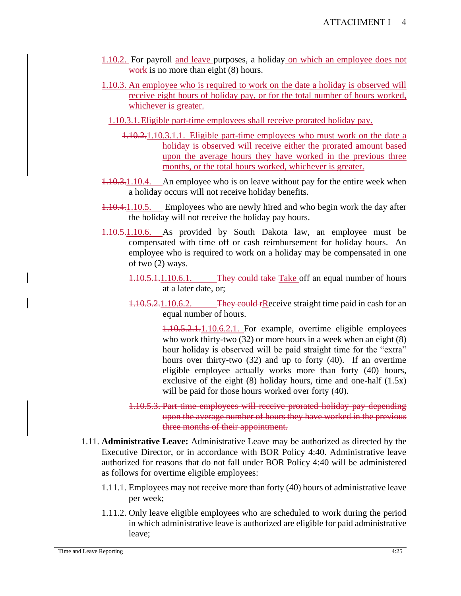- 1.10.2. For payroll and leave purposes, a holiday on which an employee does not work is no more than eight  $(8)$  hours.
- 1.10.3. An employee who is required to work on the date a holiday is observed will receive eight hours of holiday pay, or for the total number of hours worked, whichever is greater.
	- 1.10.3.1.Eligible part-time employees shall receive prorated holiday pay.
		- 1.10.2.1.10.3.1.1. Eligible part-time employees who must work on the date a holiday is observed will receive either the prorated amount based upon the average hours they have worked in the previous three months, or the total hours worked, whichever is greater.
- 1.10.3.1.10.4. An employee who is on leave without pay for the entire week when a holiday occurs will not receive holiday benefits.
- 1.10.4.1.10.5. Employees who are newly hired and who begin work the day after the holiday will not receive the holiday pay hours.
- 1.10.5.1.10.6. As provided by South Dakota law, an employee must be compensated with time off or cash reimbursement for holiday hours. An employee who is required to work on a holiday may be compensated in one of two (2) ways.
	- 1.10.5.1.1.10.6.1. They could take Take off an equal number of hours at a later date, or;
	- 1.10.5.2.1.10.6.2. They could rReceive straight time paid in cash for an equal number of hours.

1.10.5.2.1.1.10.6.2.1. For example, overtime eligible employees who work thirty-two (32) or more hours in a week when an eight (8) hour holiday is observed will be paid straight time for the "extra" hours over thirty-two (32) and up to forty (40). If an overtime eligible employee actually works more than forty (40) hours, exclusive of the eight  $(8)$  holiday hours, time and one-half  $(1.5x)$ will be paid for those hours worked over forty (40).

- 1.10.5.3. Part-time employees will receive prorated holiday pay depending upon the average number of hours they have worked in the previous three months of their appointment.
- 1.11. **Administrative Leave:** Administrative Leave may be authorized as directed by the Executive Director, or in accordance with BOR Policy 4:40. Administrative leave authorized for reasons that do not fall under BOR Policy 4:40 will be administered as follows for overtime eligible employees:
	- 1.11.1. Employees may not receive more than forty (40) hours of administrative leave per week;
	- 1.11.2. Only leave eligible employees who are scheduled to work during the period in which administrative leave is authorized are eligible for paid administrative leave;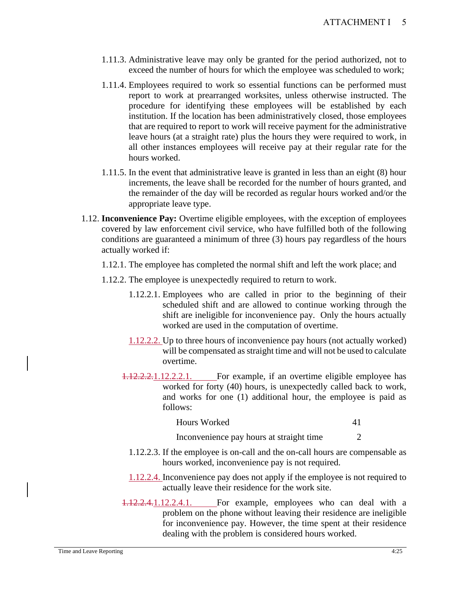- 1.11.3. Administrative leave may only be granted for the period authorized, not to exceed the number of hours for which the employee was scheduled to work;
- 1.11.4. Employees required to work so essential functions can be performed must report to work at prearranged worksites, unless otherwise instructed. The procedure for identifying these employees will be established by each institution. If the location has been administratively closed, those employees that are required to report to work will receive payment for the administrative leave hours (at a straight rate) plus the hours they were required to work, in all other instances employees will receive pay at their regular rate for the hours worked.
- 1.11.5. In the event that administrative leave is granted in less than an eight (8) hour increments, the leave shall be recorded for the number of hours granted, and the remainder of the day will be recorded as regular hours worked and/or the appropriate leave type.
- 1.12. **Inconvenience Pay:** Overtime eligible employees, with the exception of employees covered by law enforcement civil service, who have fulfilled both of the following conditions are guaranteed a minimum of three (3) hours pay regardless of the hours actually worked if:
	- 1.12.1. The employee has completed the normal shift and left the work place; and
	- 1.12.2. The employee is unexpectedly required to return to work.
		- 1.12.2.1. Employees who are called in prior to the beginning of their scheduled shift and are allowed to continue working through the shift are ineligible for inconvenience pay. Only the hours actually worked are used in the computation of overtime.
		- 1.12.2.2. Up to three hours of inconvenience pay hours (not actually worked) will be compensated as straight time and will not be used to calculate overtime.
		- 1.12.2.2.1.12.2.2.1. For example, if an overtime eligible employee has worked for forty (40) hours, is unexpectedly called back to work, and works for one (1) additional hour, the employee is paid as follows:

| <b>Hours Worked</b> |  |
|---------------------|--|
|                     |  |

Inconvenience pay hours at straight time 2

- 1.12.2.3. If the employee is on-call and the on-call hours are compensable as hours worked, inconvenience pay is not required.
- 1.12.2.4. Inconvenience pay does not apply if the employee is not required to actually leave their residence for the work site.
- 1.12.2.4.1.12.2.4.1. For example, employees who can deal with a problem on the phone without leaving their residence are ineligible for inconvenience pay. However, the time spent at their residence dealing with the problem is considered hours worked.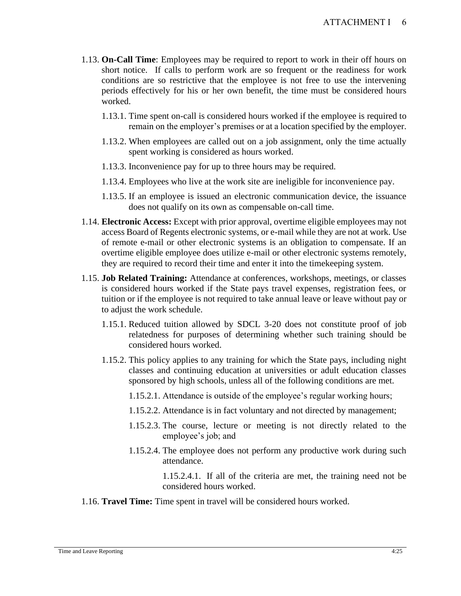- 1.13. **On-Call Time**: Employees may be required to report to work in their off hours on short notice. If calls to perform work are so frequent or the readiness for work conditions are so restrictive that the employee is not free to use the intervening periods effectively for his or her own benefit, the time must be considered hours worked.
	- 1.13.1. Time spent on-call is considered hours worked if the employee is required to remain on the employer's premises or at a location specified by the employer.
	- 1.13.2. When employees are called out on a job assignment, only the time actually spent working is considered as hours worked.
	- 1.13.3. Inconvenience pay for up to three hours may be required.
	- 1.13.4. Employees who live at the work site are ineligible for inconvenience pay.
	- 1.13.5. If an employee is issued an electronic communication device, the issuance does not qualify on its own as compensable on-call time.
- 1.14. **Electronic Access:** Except with prior approval, overtime eligible employees may not access Board of Regents electronic systems, or e-mail while they are not at work. Use of remote e-mail or other electronic systems is an obligation to compensate. If an overtime eligible employee does utilize e-mail or other electronic systems remotely, they are required to record their time and enter it into the timekeeping system.
- 1.15. **Job Related Training:** Attendance at conferences, workshops, meetings, or classes is considered hours worked if the State pays travel expenses, registration fees, or tuition or if the employee is not required to take annual leave or leave without pay or to adjust the work schedule.
	- 1.15.1. Reduced tuition allowed by SDCL 3-20 does not constitute proof of job relatedness for purposes of determining whether such training should be considered hours worked.
	- 1.15.2. This policy applies to any training for which the State pays, including night classes and continuing education at universities or adult education classes sponsored by high schools, unless all of the following conditions are met.
		- 1.15.2.1. Attendance is outside of the employee's regular working hours;
		- 1.15.2.2. Attendance is in fact voluntary and not directed by management;
		- 1.15.2.3. The course, lecture or meeting is not directly related to the employee's job; and
		- 1.15.2.4. The employee does not perform any productive work during such attendance.

1.15.2.4.1. If all of the criteria are met, the training need not be considered hours worked.

1.16. **Travel Time:** Time spent in travel will be considered hours worked.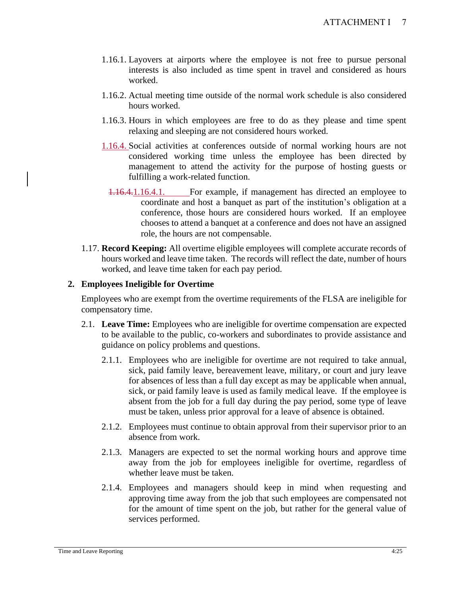- 1.16.1. Layovers at airports where the employee is not free to pursue personal interests is also included as time spent in travel and considered as hours worked.
- 1.16.2. Actual meeting time outside of the normal work schedule is also considered hours worked.
- 1.16.3. Hours in which employees are free to do as they please and time spent relaxing and sleeping are not considered hours worked.
- 1.16.4. Social activities at conferences outside of normal working hours are not considered working time unless the employee has been directed by management to attend the activity for the purpose of hosting guests or fulfilling a work-related function.
	- 1.16.4.1.16.4.1. For example, if management has directed an employee to coordinate and host a banquet as part of the institution's obligation at a conference, those hours are considered hours worked. If an employee chooses to attend a banquet at a conference and does not have an assigned role, the hours are not compensable.
- 1.17. **Record Keeping:** All overtime eligible employees will complete accurate records of hours worked and leave time taken. The records will reflect the date, number of hours worked, and leave time taken for each pay period.

## **2. Employees Ineligible for Overtime**

Employees who are exempt from the overtime requirements of the FLSA are ineligible for compensatory time.

- 2.1. **Leave Time:** Employees who are ineligible for overtime compensation are expected to be available to the public, co-workers and subordinates to provide assistance and guidance on policy problems and questions.
	- 2.1.1. Employees who are ineligible for overtime are not required to take annual, sick, paid family leave, bereavement leave, military, or court and jury leave for absences of less than a full day except as may be applicable when annual, sick, or paid family leave is used as family medical leave. If the employee is absent from the job for a full day during the pay period, some type of leave must be taken, unless prior approval for a leave of absence is obtained.
	- 2.1.2. Employees must continue to obtain approval from their supervisor prior to an absence from work.
	- 2.1.3. Managers are expected to set the normal working hours and approve time away from the job for employees ineligible for overtime, regardless of whether leave must be taken.
	- 2.1.4. Employees and managers should keep in mind when requesting and approving time away from the job that such employees are compensated not for the amount of time spent on the job, but rather for the general value of services performed.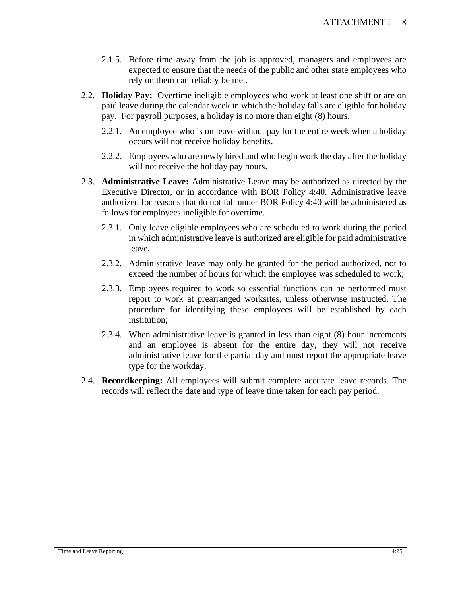- 2.1.5. Before time away from the job is approved, managers and employees are expected to ensure that the needs of the public and other state employees who rely on them can reliably be met.
- 2.2. **Holiday Pay:** Overtime ineligible employees who work at least one shift or are on paid leave during the calendar week in which the holiday falls are eligible for holiday pay. For payroll purposes, a holiday is no more than eight (8) hours.
	- 2.2.1. An employee who is on leave without pay for the entire week when a holiday occurs will not receive holiday benefits.
	- 2.2.2. Employees who are newly hired and who begin work the day after the holiday will not receive the holiday pay hours.
- 2.3. **Administrative Leave:** Administrative Leave may be authorized as directed by the Executive Director, or in accordance with BOR Policy 4:40. Administrative leave authorized for reasons that do not fall under BOR Policy 4:40 will be administered as follows for employees ineligible for overtime.
	- 2.3.1. Only leave eligible employees who are scheduled to work during the period in which administrative leave is authorized are eligible for paid administrative leave.
	- 2.3.2. Administrative leave may only be granted for the period authorized, not to exceed the number of hours for which the employee was scheduled to work;
	- 2.3.3. Employees required to work so essential functions can be performed must report to work at prearranged worksites, unless otherwise instructed. The procedure for identifying these employees will be established by each institution;
	- 2.3.4. When administrative leave is granted in less than eight (8) hour increments and an employee is absent for the entire day, they will not receive administrative leave for the partial day and must report the appropriate leave type for the workday.
- 2.4. **Recordkeeping:** All employees will submit complete accurate leave records. The records will reflect the date and type of leave time taken for each pay period.